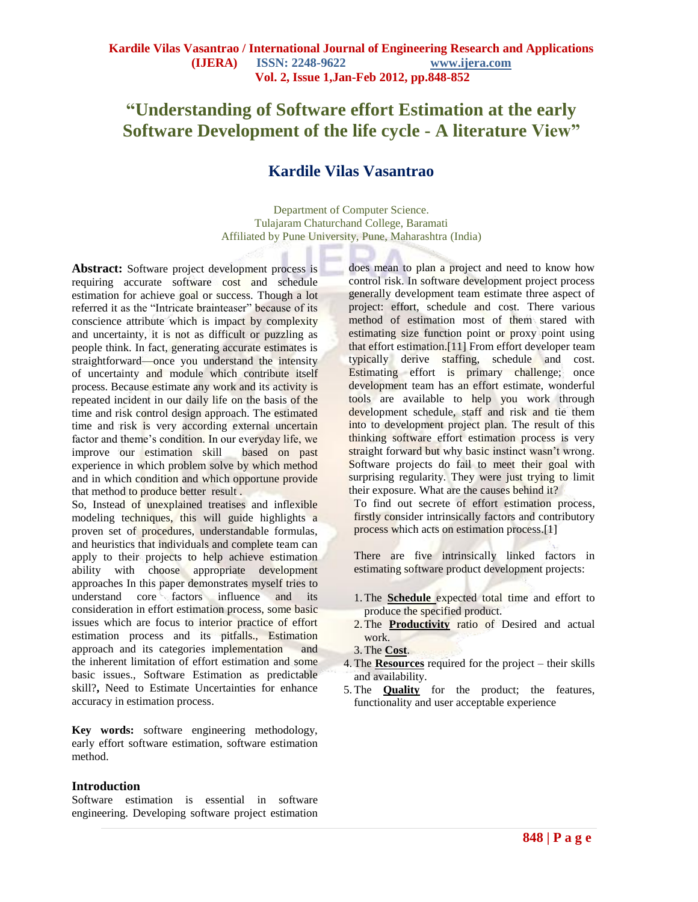# **"Understanding of Software effort Estimation at the early Software Development of the life cycle - A literature View"**

# **Kardile Vilas Vasantrao**

Department of Computer Science. Tulajaram Chaturchand College, Baramati Affiliated by Pune University, Pune, Maharashtra (India)

**Abstract:** Software project development process is requiring accurate software cost and schedule estimation for achieve goal or success. Though a lot referred it as the "Intricate brainteaser" because of its conscience attribute which is impact by complexity and uncertainty, it is not as difficult or puzzling as people think. In fact, generating accurate estimates is straightforward—once you understand the intensity of uncertainty and module which contribute itself process. Because estimate any work and its activity is repeated incident in our daily life on the basis of the time and risk control design approach. The estimated time and risk is very according external uncertain factor and theme's condition. In our everyday life, we improve our estimation skill based on past experience in which problem solve by which method and in which condition and which opportune provide that method to produce better result .

So, Instead of unexplained treatises and inflexible modeling techniques, this will guide highlights a proven set of procedures, understandable formulas, and heuristics that individuals and complete team can apply to their projects to help achieve estimation ability with choose appropriate development approaches In this paper demonstrates myself tries to understand core factors influence and its consideration in effort estimation process, some basic issues which are focus to interior practice of effort estimation process and its pitfalls., Estimation approach and its categories implementation and the inherent limitation of effort estimation and some basic issues., Software Estimation as predictable skill?**,** Need to Estimate Uncertainties for enhance accuracy in estimation process.

**Key words:** software engineering methodology, early effort software estimation, software estimation method.

#### **Introduction**

Software estimation is essential in software engineering. Developing software project estimation does mean to plan a project and need to know how control risk. In software development project process generally development team estimate three aspect of project: effort, schedule and cost. There various method of estimation most of them stared with estimating size function point or proxy point using that effort estimation.[11] From effort developer team typically derive staffing, schedule and cost. Estimating effort is primary challenge; once development team has an effort estimate, wonderful tools are available to help you work through development schedule, staff and risk and tie them into to development project plan. The result of this thinking software effort estimation process is very straight forward but why basic instinct wasn't wrong. Software projects do fail to meet their goal with surprising regularity. They were just trying to limit their exposure. What are the causes behind it?

To find out secrete of effort estimation process, firstly consider intrinsically factors and contributory process which acts on estimation process.[1]

There are five intrinsically linked factors in estimating software product development projects:

- 1.The **Schedule** expected total time and effort to produce the specified product.
- 2.The **Productivity** ratio of Desired and actual work.
- 3.The **Cost**.
- 4. The **Resources** required for the project their skills and availability.
- 5. The **Quality** for the product; the features, functionality and user acceptable experience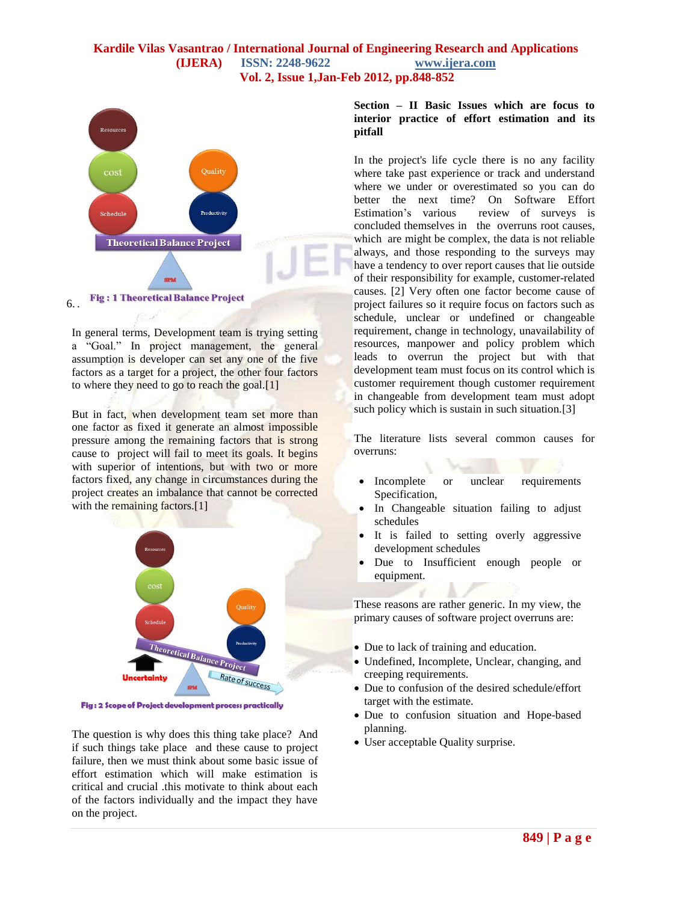

In general terms, Development team is trying setting a "Goal." In project management, the general assumption is developer can set any one of the five factors as a target for a project, the other four factors to where they need to go to reach the goal.[1]

But in fact, when development team set more than one factor as fixed it generate an almost impossible pressure among the remaining factors that is strong cause to project will fail to meet its goals. It begins with superior of intentions, but with two or more factors fixed, any change in circumstances during the project creates an imbalance that cannot be corrected with the remaining factors.<sup>[1]</sup>



Fig : 2 Scope of Project development process practically

The question is why does this thing take place? And if such things take place and these cause to project failure, then we must think about some basic issue of effort estimation which will make estimation is critical and crucial .this motivate to think about each of the factors individually and the impact they have on the project.

#### **Section – II Basic Issues which are focus to interior practice of effort estimation and its pitfall**

In the project's life cycle there is no any facility where take past experience or track and understand where we under or overestimated so you can do better the next time? On Software Effort Estimation's various review of surveys is concluded themselves in the overruns root causes, which are might be complex, the data is not reliable always, and those responding to the surveys may have a tendency to over report causes that lie outside of their responsibility for example, customer-related causes. [2] Very often one factor become cause of project failures so it require focus on factors such as schedule, unclear or undefined or changeable requirement, change in technology, unavailability of resources, manpower and policy problem which leads to overrun the project but with that development team must focus on its control which is customer requirement though customer requirement in changeable from development team must adopt such policy which is sustain in such situation.[3]

The literature lists several common causes for overruns:

- Incomplete or unclear requirements Specification,
- In Changeable situation failing to adjust schedules
- It is failed to setting overly aggressive development schedules
- Due to Insufficient enough people or equipment.

These reasons are rather generic. In my view, the primary causes of software project overruns are:

- Due to lack of training and education.
- Undefined, Incomplete, Unclear, changing, and creeping requirements.
- Due to confusion of the desired schedule/effort target with the estimate.
- Due to confusion situation and Hope-based planning.
- User acceptable Quality surprise.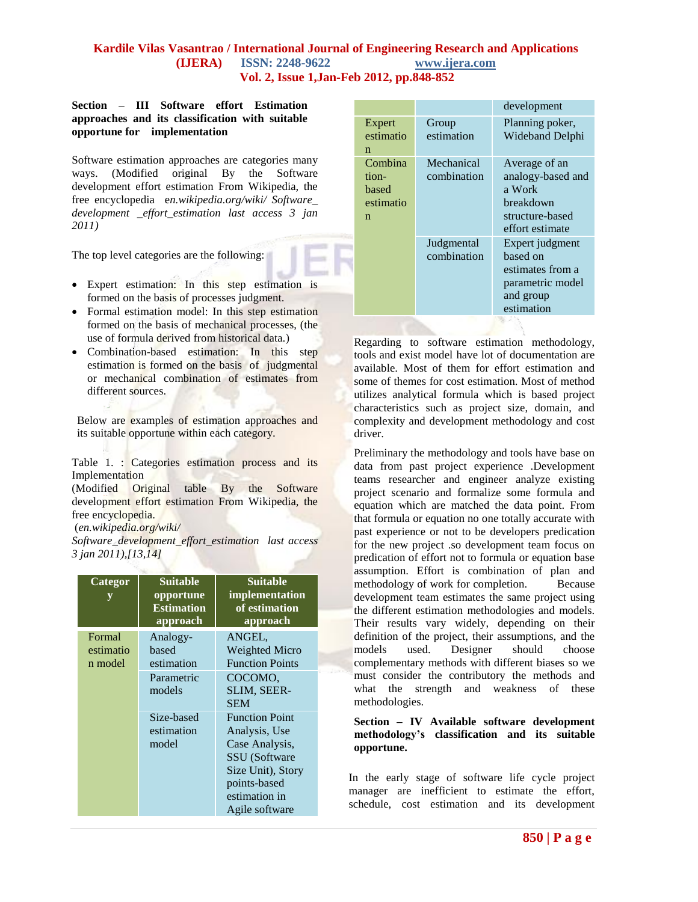#### **Section – III Software effort Estimation approaches and its classification with suitable opportune for implementation**

Software estimation approaches are categories many ways. (Modified original By the Software development effort estimation From Wikipedia, the free encyclopedia e*n.wikipedia.org/wiki/ Software\_ development \_effort\_estimation last access 3 jan 2011)*

The top level categories are the following:

- Expert estimation: In this step estimation is formed on the basis of processes judgment.
- Formal estimation model: In this step estimation formed on the basis of mechanical processes, (the use of formula derived from historical data.)
- Combination-based estimation: In this step estimation is formed on the basis of judgmental or mechanical combination of estimates from different sources.

Below are examples of estimation approaches and its suitable opportune within each category.

Table 1. : Categories estimation process and its **Implementation** 

(Modified Original table By the Software development effort estimation From Wikipedia, the free encyclopedia.

(*en.wikipedia.org/wiki/*

*Software\_development\_effort\_estimation last access 3 jan 2011),[13,14]*

| Categor<br>y                   | <b>Suitable</b><br>opportune<br><b>Estimation</b><br>approach | <b>Suitable</b><br>implementation<br>of estimation<br>approach                                                                                    |
|--------------------------------|---------------------------------------------------------------|---------------------------------------------------------------------------------------------------------------------------------------------------|
| Formal<br>estimatio<br>n model | Analogy-<br>based<br>estimation<br>Parametric<br>models       | ANGEL,<br><b>Weighted Micro</b><br><b>Function Points</b><br>COCOMO.<br>SLIM, SEER-<br><b>SEM</b>                                                 |
|                                | Size-based<br>estimation<br>model                             | <b>Function Point</b><br>Analysis, Use<br>Case Analysis,<br>SSU (Software<br>Size Unit), Story<br>points-based<br>estimation in<br>Agile software |

|                                             |                           | development                                                                                     |
|---------------------------------------------|---------------------------|-------------------------------------------------------------------------------------------------|
| Expert<br>estimatio<br>n                    | Group<br>estimation       | Planning poker,<br>Wideband Delphi                                                              |
| Combina<br>tion-<br>based<br>estimatio<br>n | Mechanical<br>combination | Average of an<br>analogy-based and<br>a Work<br>hreakdown<br>structure-based<br>effort estimate |
|                                             | Judgmental<br>combination | Expert judgment<br>hased on<br>estimates from a<br>parametric model<br>and group<br>estimation  |
|                                             |                           |                                                                                                 |

Regarding to software estimation methodology, tools and exist model have lot of documentation are available. Most of them for effort estimation and some of themes for cost estimation. Most of method utilizes analytical formula which is based project characteristics such as project size, domain, and complexity and development methodology and cost driver.

Preliminary the methodology and tools have base on data from past project experience .Development teams researcher and engineer analyze existing project scenario and formalize some formula and equation which are matched the data point. From that formula or equation no one totally accurate with past experience or not to be developers predication for the new project .so development team focus on predication of effort not to formula or equation base assumption. Effort is combination of plan and methodology of work for completion. Because development team estimates the same project using the different estimation methodologies and models. Their results vary widely, depending on their definition of the project, their assumptions, and the models used. Designer should choose complementary methods with different biases so we must consider the contributory the methods and what the strength and weakness of these methodologies.

#### **Section – IV Available software development methodology's classification and its suitable opportune.**

In the early stage of software life cycle project manager are inefficient to estimate the effort, schedule, cost estimation and its development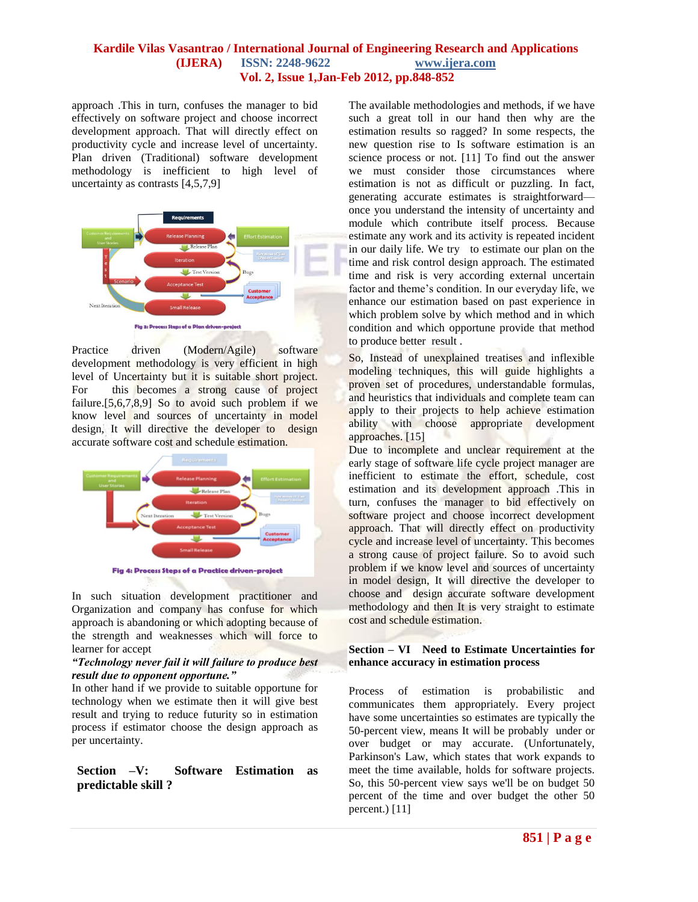approach .This in turn, confuses the manager to bid effectively on software project and choose incorrect development approach. That will directly effect on productivity cycle and increase level of uncertainty. Plan driven (Traditional) software development methodology is inefficient to high level of uncertainty as contrasts [4,5,7,9]



Practice driven (Modern/Agile) software development methodology is very efficient in high level of Uncertainty but it is suitable short project. For this becomes a strong cause of project failure.[5,6,7,8,9] So to avoid such problem if we know level and sources of uncertainty in model design, It will directive the developer to design accurate software cost and schedule estimation.



Fig 4: Process Steps of a Practice driven-project

In such situation development practitioner and Organization and company has confuse for which approach is abandoning or which adopting because of the strength and weaknesses which will force to learner for accept

#### *"Technology never fail it will failure to produce best result due to opponent opportune."*

In other hand if we provide to suitable opportune for technology when we estimate then it will give best result and trying to reduce futurity so in estimation process if estimator choose the design approach as per uncertainty.

## **Section –V: Software Estimation as predictable skill ?**

The available methodologies and methods, if we have such a great toll in our hand then why are the estimation results so ragged? In some respects, the new question rise to Is software estimation is an science process or not. [11] To find out the answer we must consider those circumstances where estimation is not as difficult or puzzling. In fact, generating accurate estimates is straightforward once you understand the intensity of uncertainty and module which contribute itself process. Because estimate any work and its activity is repeated incident in our daily life. We try to estimate our plan on the time and risk control design approach. The estimated time and risk is very according external uncertain factor and theme's condition. In our everyday life, we enhance our estimation based on past experience in which problem solve by which method and in which condition and which opportune provide that method to produce better result .

So, Instead of unexplained treatises and inflexible modeling techniques, this will guide highlights a proven set of procedures, understandable formulas, and heuristics that individuals and complete team can apply to their projects to help achieve estimation ability with choose appropriate development approaches. [15]

Due to incomplete and unclear requirement at the early stage of software life cycle project manager are inefficient to estimate the effort, schedule, cost estimation and its development approach .This in turn, confuses the manager to bid effectively on software project and choose incorrect development approach. That will directly effect on productivity cycle and increase level of uncertainty. This becomes a strong cause of project failure. So to avoid such problem if we know level and sources of uncertainty in model design, It will directive the developer to choose and design accurate software development methodology and then It is very straight to estimate cost and schedule estimation.

#### **Section – VI Need to Estimate Uncertainties for enhance accuracy in estimation process**

Process of estimation is probabilistic and communicates them appropriately. Every project have some uncertainties so estimates are typically the 50-percent view, means It will be probably under or over budget or may accurate. (Unfortunately, Parkinson's Law, which states that work expands to meet the time available, holds for software projects. So, this 50-percent view says we'll be on budget 50 percent of the time and over budget the other 50 percent.) [11]